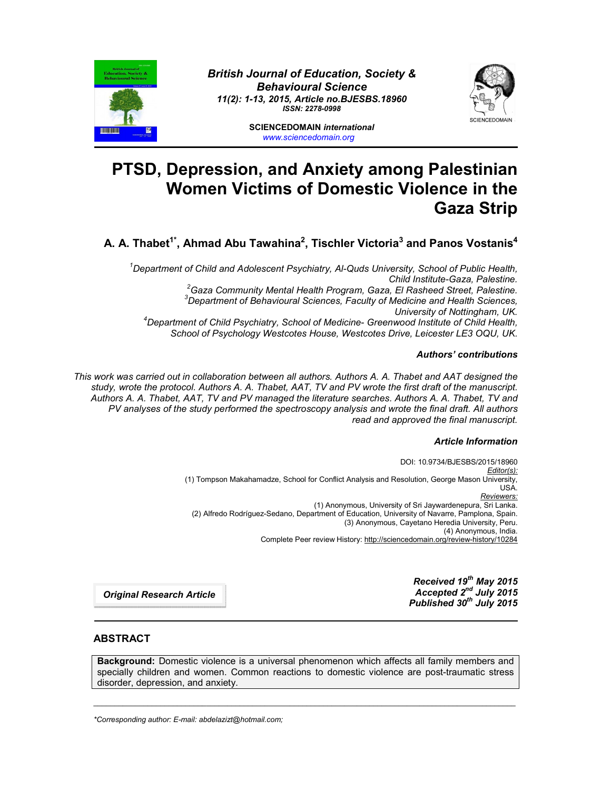

*British Journal of Education, Society & Behavioural Science 11(2): 1-13, 2015, Article no.BJESBS.18960 ISSN: 2278-0998*



**SCIENCEDOMAIN** *international www.sciencedomain.org*

# **PTSD, Depression, and Anxiety among Palestinian Women Victims of Domestic Violence in the Gaza Strip**

A. A. Thabet<sup>1\*</sup>, Ahmad Abu Tawahina<sup>2</sup>, Tischler Victoria<sup>3</sup> and Panos Vostanis<sup>4</sup>

*1 Department of Child and Adolescent Psychiatry, Al-Quds University, School of Public Health, Child Institute-Gaza, Palestine. <sup>2</sup> Gaza Community Mental Health Program, Gaza, El Rasheed Street, Palestine. 3 Department of Behavioural Sciences, Faculty of Medicine and Health Sciences, University of Nottingham, UK. <sup>4</sup> Department of Child Psychiatry, School of Medicine- Greenwood Institute of Child Health,* 

*School of Psychology Westcotes House, Westcotes Drive, Leicester LE3 OQU, UK.*

## *Authors' contributions*

*This work was carried out in collaboration between all authors. Authors A. A. Thabet and AAT designed the study, wrote the protocol. Authors A. A. Thabet, AAT, TV and PV wrote the first draft of the manuscript. Authors A. A. Thabet, AAT, TV and PV managed the literature searches. Authors A. A. Thabet, TV and PV analyses of the study performed the spectroscopy analysis and wrote the final draft. All authors read and approved the final manuscript.*

# *Article Information*

DOI: 10.9734/BJESBS/2015/18960 *Editor(s):* (1) Tompson Makahamadze, School for Conflict Analysis and Resolution, George Mason University, USA. *Reviewers:* (1) Anonymous, University of Sri Jaywardenepura, Sri Lanka. (2) Alfredo Rodríguez-Sedano, Department of Education, University of Navarre, Pamplona, Spain. (3) Anonymous, Cayetano Heredia University, Peru. (4) Anonymous, India. Complete Peer review History: http://sciencedomain.org/review-history/10284

> *Received 19th May 2015 Accepted 2nd July 2015 Published 30th July 2015*

*Original Research Article*

# **ABSTRACT**

**Background:** Domestic violence is a universal phenomenon which affects all family members and specially children and women. Common reactions to domestic violence are post-traumatic stress disorder, depression, and anxiety.

\_\_\_\_\_\_\_\_\_\_\_\_\_\_\_\_\_\_\_\_\_\_\_\_\_\_\_\_\_\_\_\_\_\_\_\_\_\_\_\_\_\_\_\_\_\_\_\_\_\_\_\_\_\_\_\_\_\_\_\_\_\_\_\_\_\_\_\_\_\_\_\_\_\_\_\_\_\_\_\_\_\_\_\_\_\_\_\_\_\_\_\_\_\_\_\_\_\_\_\_\_

*\*Corresponding author: E-mail: abdelazizt@hotmail.com;*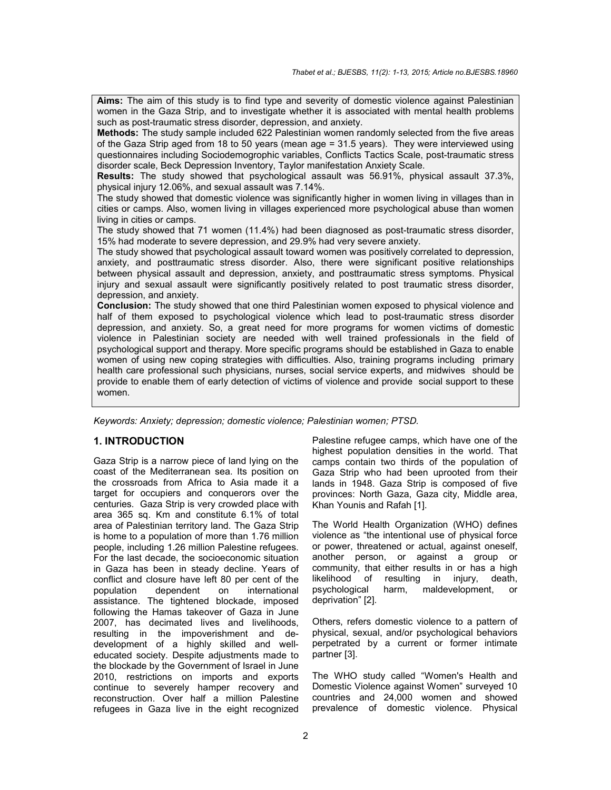**Aims:** The aim of this study is to find type and severity of domestic violence against Palestinian women in the Gaza Strip, and to investigate whether it is associated with mental health problems such as post-traumatic stress disorder, depression, and anxiety.

**Methods:** The study sample included 622 Palestinian women randomly selected from the five areas of the Gaza Strip aged from 18 to 50 years (mean age = 31.5 years). They were interviewed using questionnaires including Sociodemogrophic variables, Conflicts Tactics Scale, post-traumatic stress disorder scale, Beck Depression Inventory, Taylor manifestation Anxiety Scale.

**Results:** The study showed that psychological assault was 56.91%, physical assault 37.3%, physical injury 12.06%, and sexual assault was 7.14%.

The study showed that domestic violence was significantly higher in women living in villages than in cities or camps. Also, women living in villages experienced more psychological abuse than women living in cities or camps.

The study showed that 71 women (11.4%) had been diagnosed as post-traumatic stress disorder, 15% had moderate to severe depression, and 29.9% had very severe anxiety.

The study showed that psychological assault toward women was positively correlated to depression, anxiety, and posttraumatic stress disorder. Also, there were significant positive relationships between physical assault and depression, anxiety, and posttraumatic stress symptoms. Physical injury and sexual assault were significantly positively related to post traumatic stress disorder, depression, and anxiety.

**Conclusion:** The study showed that one third Palestinian women exposed to physical violence and half of them exposed to psychological violence which lead to post-traumatic stress disorder depression, and anxiety. So, a great need for more programs for women victims of domestic violence in Palestinian society are needed with well trained professionals in the field of psychological support and therapy. More specific programs should be established in Gaza to enable women of using new coping strategies with difficulties. Also, training programs including primary health care professional such physicians, nurses, social service experts, and midwives should be provide to enable them of early detection of victims of violence and provide social support to these women.

*Keywords: Anxiety; depression; domestic violence; Palestinian women; PTSD.*

# **1. INTRODUCTION**

Gaza Strip is a narrow piece of land lying on the coast of the Mediterranean sea. Its position on the crossroads from Africa to Asia made it a target for occupiers and conquerors over the centuries. Gaza Strip is very crowded place with area 365 sq. Km and constitute 6.1% of total area of Palestinian territory land. The Gaza Strip is home to a population of more than 1.76 million people, including 1.26 million Palestine refugees. For the last decade, the socioeconomic situation in Gaza has been in steady decline. Years of conflict and closure have left 80 per cent of the population dependent on international assistance. The tightened blockade, imposed following the Hamas takeover of Gaza in June 2007, has decimated lives and livelihoods, resulting in the impoverishment and dedevelopment of a highly skilled and welleducated society. Despite adjustments made to the blockade by the Government of Israel in June 2010, restrictions on imports and exports continue to severely hamper recovery and reconstruction. Over half a million Palestine refugees in Gaza live in the eight recognized

Palestine refugee camps, which have one of the highest population densities in the world. That camps contain two thirds of the population of Gaza Strip who had been uprooted from their lands in 1948. Gaza Strip is composed of five provinces: North Gaza, Gaza city, Middle area, Khan Younis and Rafah [1].

The World Health Organization (WHO) defines violence as "the intentional use of physical force or power, threatened or actual, against oneself, another person, or against a group or community, that either results in or has a high likelihood of resulting in injury, death, psychological harm, maldevelopment, or deprivation" [2].

Others, refers domestic violence to a pattern of physical, sexual, and/or psychological behaviors perpetrated by a current or former intimate partner [3].

The WHO study called "Women's Health and Domestic Violence against Women" surveyed 10 countries and 24,000 women and showed prevalence of domestic violence. Physical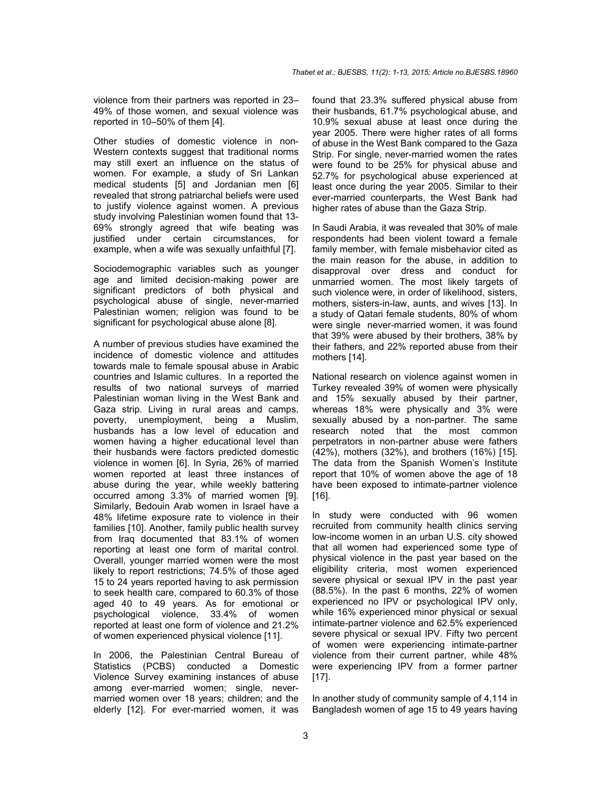violence from their partners was reported in 23– 49% of those women, and sexual violence was reported in 10–50% of them [4].

Other studies of domestic violence in non-Western contexts suggest that traditional norms may still exert an influence on the status of women. For example, a study of Sri Lankan medical students [5] and Jordanian men [6] revealed that strong patriarchal beliefs were used to justify violence against women. A previous study involving Palestinian women found that 13- 69% strongly agreed that wife beating was justified under certain circumstances, for example, when a wife was sexually unfaithful [7].

Sociodemographic variables such as younger age and limited decision-making power are significant predictors of both physical and psychological abuse of single, never-married Palestinian women; religion was found to be significant for psychological abuse alone [8].

A number of previous studies have examined the incidence of domestic violence and attitudes towards male to female spousal abuse in Arabic countries and Islamic cultures. In a reported the results of two national surveys of married Palestinian woman living in the West Bank and Gaza strip. Living in rural areas and camps, poverty, unemployment, being a Muslim, husbands has a low level of education and women having a higher educational level than their husbands were factors predicted domestic violence in women [6]. In Syria, 26% of married women reported at least three instances of abuse during the year, while weekly battering occurred among 3.3% of married women [9]. Similarly, Bedouin Arab women in Israel have a 48% lifetime exposure rate to violence in their families [10]. Another, family public health survey from Iraq documented that 83.1% of women reporting at least one form of marital control. Overall, younger married women were the most likely to report restrictions; 74.5% of those aged 15 to 24 years reported having to ask permission to seek health care, compared to 60.3% of those aged 40 to 49 years. As for emotional or psychological violence, 33.4% of women reported at least one form of violence and 21.2% of women experienced physical violence [11].

In 2006, the Palestinian Central Bureau of Statistics (PCBS) conducted a Domestic Violence Survey examining instances of abuse among ever-married women; single, nevermarried women over 18 years; children; and the elderly [12]. For ever-married women, it was found that 23.3% suffered physical abuse from their husbands, 61.7% psychological abuse, and 10.9% sexual abuse at least once during the year 2005. There were higher rates of all forms of abuse in the West Bank compared to the Gaza Strip. For single, never-married women the rates were found to be 25% for physical abuse and 52.7% for psychological abuse experienced at least once during the year 2005. Similar to their ever-married counterparts, the West Bank had higher rates of abuse than the Gaza Strip.

In Saudi Arabia, it was revealed that 30% of male respondents had been violent toward a female family member, with female misbehavior cited as the main reason for the abuse, in addition to disapproval over dress and conduct for unmarried women. The most likely targets of such violence were, in order of likelihood, sisters, mothers, sisters-in-law, aunts, and wives [13]. In a study of Qatari female students, 80% of whom were single never-married women, it was found that 39% were abused by their brothers, 38% by their fathers, and 22% reported abuse from their mothers [14].

National research on violence against women in Turkey revealed 39% of women were physically and 15% sexually abused by their partner, whereas 18% were physically and 3% were sexually abused by a non-partner. The same research noted that the most common perpetrators in non-partner abuse were fathers (42%), mothers (32%), and brothers (16%) [15]. The data from the Spanish Women's Institute report that 10% of women above the age of 18 have been exposed to intimate-partner violence [16].

In study were conducted with 96 women recruited from community health clinics serving low-income women in an urban U.S. city showed that all women had experienced some type of physical violence in the past year based on the eligibility criteria, most women experienced severe physical or sexual IPV in the past year (88.5%). In the past 6 months, 22% of women experienced no IPV or psychological IPV only, while 16% experienced minor physical or sexual intimate-partner violence and 62.5% experienced severe physical or sexual IPV. Fifty two percent of women were experiencing intimate-partner violence from their current partner, while 48% were experiencing IPV from a former partner [17].

In another study of community sample of 4,114 in Bangladesh women of age 15 to 49 years having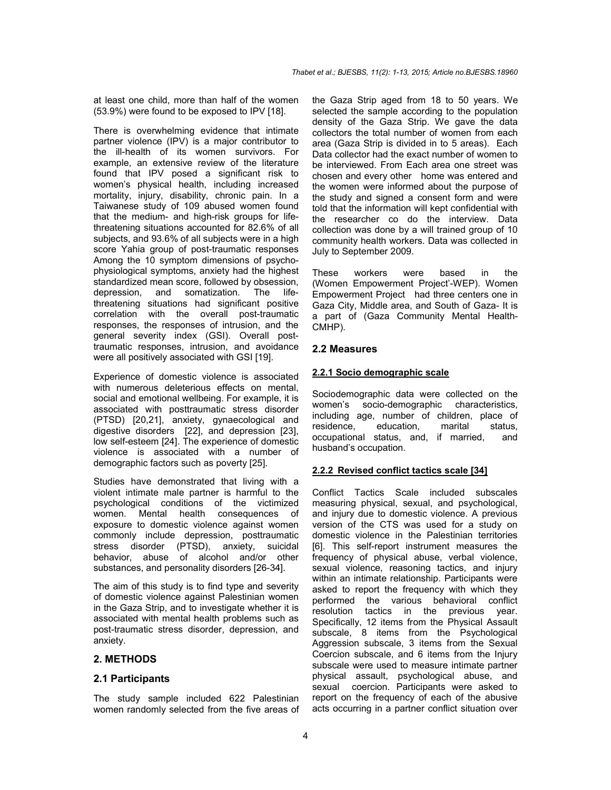at least one child, more than half of the women (53.9%) were found to be exposed to IPV [18].

There is overwhelming evidence that intimate partner violence (IPV) is a major contributor to the ill-health of its women survivors. For example, an extensive review of the literature found that IPV posed a significant risk to women's physical health, including increased mortality, injury, disability, chronic pain. In a Taiwanese study of 109 abused women found that the medium- and high-risk groups for lifethreatening situations accounted for 82.6% of all subjects, and 93.6% of all subjects were in a high score Yahia group of post-traumatic responses Among the 10 symptom dimensions of psychophysiological symptoms, anxiety had the highest standardized mean score, followed by obsession, depression, and somatization. The lifethreatening situations had significant positive correlation with the overall post-traumatic responses, the responses of intrusion, and the general severity index (GSI). Overall posttraumatic responses, intrusion, and avoidance were all positively associated with GSI [19].

Experience of domestic violence is associated with numerous deleterious effects on mental. social and emotional wellbeing. For example, it is associated with posttraumatic stress disorder (PTSD) [20,21], anxiety, gynaecological and digestive disorders [22], and depression [23], low self-esteem [24]. The experience of domestic violence is associated with a number of demographic factors such as poverty [25].

Studies have demonstrated that living with a violent intimate male partner is harmful to the psychological conditions of the victimized women. Mental health consequences of exposure to domestic violence against women commonly include depression, posttraumatic stress disorder (PTSD), anxiety, suicidal behavior, abuse of alcohol and/or other substances, and personality disorders [26-34].

The aim of this study is to find type and severity of domestic violence against Palestinian women in the Gaza Strip, and to investigate whether it is associated with mental health problems such as post-traumatic stress disorder, depression, and anxiety.

# **2. METHODS**

### **2.1 Participants**

The study sample included 622 Palestinian women randomly selected from the five areas of the Gaza Strip aged from 18 to 50 years. We selected the sample according to the population density of the Gaza Strip. We gave the data collectors the total number of women from each area (Gaza Strip is divided in to 5 areas). Each Data collector had the exact number of women to be interviewed. From Each area one street was chosen and every other home was entered and the women were informed about the purpose of the study and signed a consent form and were told that the information will kept confidential with the researcher co do the interview. Data collection was done by a will trained group of 10 community health workers. Data was collected in July to September 2009.

These workers were based in the (Women Empowerment Project'-WEP). Women Empowerment Project had three centers one in Gaza City, Middle area, and South of Gaza- It is a part of (Gaza Community Mental Health-CMHP).

### **2.2 Measures**

#### **2.2.1 Socio demographic scale**

Sociodemographic data were collected on the women's socio-demographic characteristics, including age, number of children, place of residence, education, marital status, occupational status, and, if married, and husband's occupation.

#### **2.2.2 Revised conflict tactics scale [34]**

Conflict Tactics Scale included subscales measuring physical, sexual, and psychological, and injury due to domestic violence. A previous version of the CTS was used for a study on domestic violence in the Palestinian territories [6]. This self-report instrument measures the frequency of physical abuse, verbal violence, sexual violence, reasoning tactics, and injury within an intimate relationship. Participants were asked to report the frequency with which they performed the various behavioral conflict resolution tactics in the previous year. Specifically, 12 items from the Physical Assault subscale, 8 items from the Psychological Aggression subscale, 3 items from the Sexual Coercion subscale, and 6 items from the Injury subscale were used to measure intimate partner physical assault, psychological abuse, and sexual coercion. Participants were asked to report on the frequency of each of the abusive acts occurring in a partner conflict situation over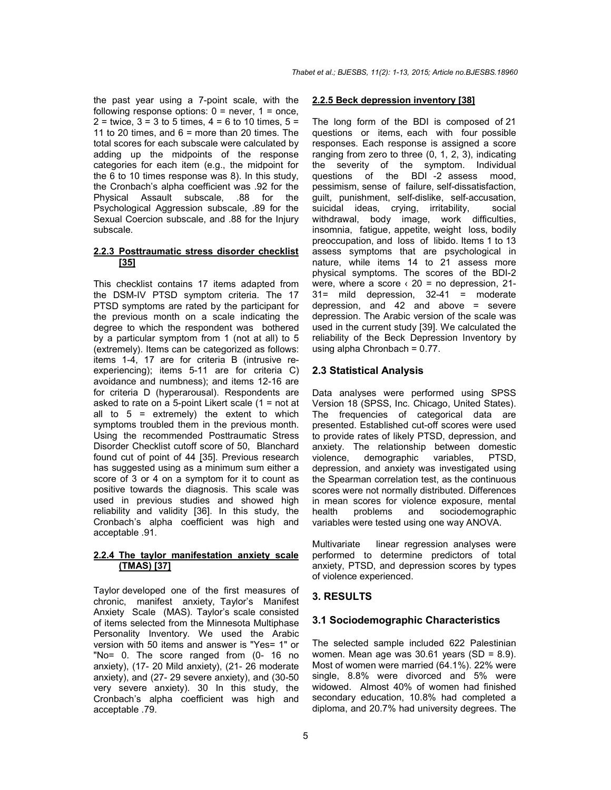the past year using a 7-point scale, with the following response options:  $0 =$  never,  $1 =$  once,  $2 =$  twice,  $3 = 3$  to 5 times,  $4 = 6$  to 10 times,  $5 =$ 11 to 20 times, and  $6 =$  more than 20 times. The total scores for each subscale were calculated by adding up the midpoints of the response categories for each item (e.g., the midpoint for the 6 to 10 times response was 8). In this study, the Cronbach's alpha coefficient was .92 for the Physical Assault subscale, .88 for the Psychological Aggression subscale, .89 for the Sexual Coercion subscale, and .88 for the Injury subscale.

## **2.2.3 Posttraumatic stress disorder checklist [35]**

This checklist contains 17 items adapted from the DSM-IV PTSD symptom criteria. The 17 PTSD symptoms are rated by the participant for the previous month on a scale indicating the degree to which the respondent was bothered by a particular symptom from 1 (not at all) to 5 (extremely). Items can be categorized as follows: items 1-4, 17 are for criteria B (intrusive reexperiencing); items 5-11 are for criteria C) avoidance and numbness); and items 12-16 are for criteria D (hyperarousal). Respondents are asked to rate on a 5-point Likert scale  $(1 = not at$ all to  $5$  = extremely) the extent to which symptoms troubled them in the previous month. Using the recommended Posttraumatic Stress Disorder Checklist cutoff score of 50, Blanchard found cut of point of 44 [35]. Previous research has suggested using as a minimum sum either a score of 3 or 4 on a symptom for it to count as positive towards the diagnosis. This scale was used in previous studies and showed high reliability and validity [36]. In this study, the Cronbach's alpha coefficient was high and acceptable .91.

## **2.2.4 The taylor manifestation anxiety scale (TMAS) [37]**

Taylor developed one of the first measures of chronic, manifest anxiety, Taylor's Manifest Anxiety Scale (MAS). Taylor's scale consisted of items selected from the Minnesota Multiphase Personality Inventory. We used the Arabic version with 50 items and answer is "Yes= 1" or "No= 0. The score ranged from (0- 16 no anxiety), (17- 20 Mild anxiety), (21- 26 moderate anxiety), and (27- 29 severe anxiety), and (30-50 very severe anxiety). 30 In this study, the Cronbach's alpha coefficient was high and acceptable .79.

#### **2.2.5 Beck depression inventory [38]**

The long form of the BDI is composed of 21 questions or items, each with four possible responses. Each response is assigned a score ranging from zero to three (0, 1, 2, 3), indicating the severity of the symptom. Individual questions of the BDI -2 assess mood, pessimism, sense of failure, self-dissatisfaction, guilt, punishment, self-dislike, self-accusation, suicidal ideas, crying, irritability, social withdrawal, body image, work difficulties, insomnia, fatigue, appetite, weight loss, bodily preoccupation, and loss of libido. Items 1 to 13 assess symptoms that are psychological in nature, while items 14 to 21 assess more physical symptoms. The scores of the BDI-2 were, where a score  $\langle 20 \rangle$  = no depression, 21-31= mild depression, 32-41 = moderate depression, and  $42$  and above = severe depression. The Arabic version of the scale was used in the current study [39]. We calculated the reliability of the Beck Depression Inventory by using alpha Chronbach = 0.77.

# **2.3 Statistical Analysis**

Data analyses were performed using SPSS Version 18 (SPSS, Inc. Chicago, United States). The frequencies of categorical data are presented. Established cut-off scores were used to provide rates of likely PTSD, depression, and anxiety. The relationship between domestic violence, demographic variables, PTSD, depression, and anxiety was investigated using the Spearman correlation test, as the continuous scores were not normally distributed. Differences in mean scores for violence exposure, mental health problems and sociodemographic variables were tested using one way ANOVA.

Multivariate linear regression analyses were performed to determine predictors of total anxiety, PTSD, and depression scores by types of violence experienced.

# **3. RESULTS**

### **3.1 Sociodemographic Characteristics**

The selected sample included 622 Palestinian women. Mean age was  $30.61$  years (SD = 8.9). Most of women were married (64.1%). 22% were single, 8.8% were divorced and 5% were widowed. Almost 40% of women had finished secondary education, 10.8% had completed a diploma, and 20.7% had university degrees. The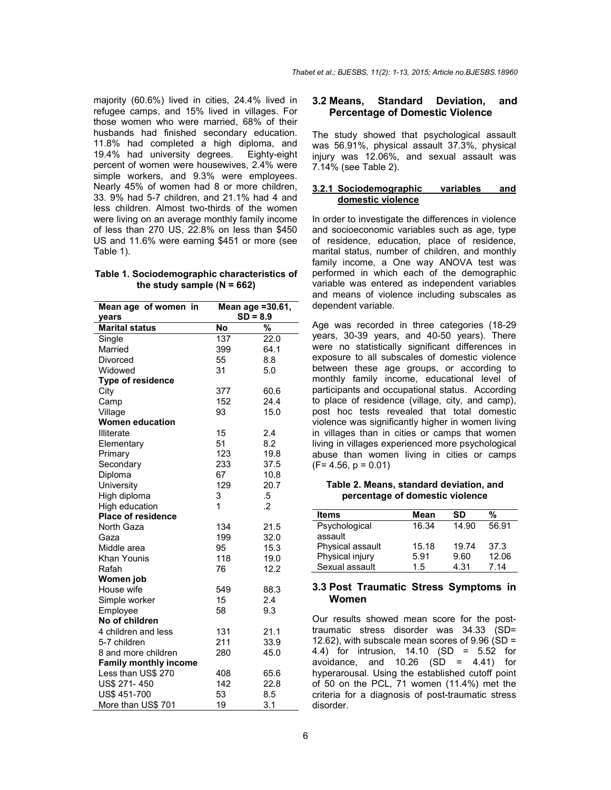majority (60.6%) lived in cities, 24.4% lived in refugee camps, and 15% lived in villages. For those women who were married, 68% of their husbands had finished secondary education. 11.8% had completed a high diploma, and 19.4% had university degrees. Eighty-eight percent of women were housewives, 2.4% were simple workers, and 9.3% were employees. Nearly 45% of women had 8 or more children, 33. 9% had 5-7 children, and 21.1% had 4 and less children. Almost two-thirds of the women were living on an average monthly family income of less than 270 US, 22.8% on less than \$450 US and 11.6% were earning \$451 or more (see Table 1).

### **Table 1. Sociodemographic characteristics of the study sample (N = 662)**

| Mean age of women in         | Mean age = 30.61, |                 |  |  |  |  |
|------------------------------|-------------------|-----------------|--|--|--|--|
| years                        | $SD = 8.9$        |                 |  |  |  |  |
| <b>Marital status</b>        | <b>No</b>         | $\overline{\%}$ |  |  |  |  |
| Single                       | 137               | 22.0            |  |  |  |  |
| Married                      | 399               | 64.1            |  |  |  |  |
| Divorced                     | 55                | 8.8             |  |  |  |  |
| Widowed                      | 31                | 5.0             |  |  |  |  |
| Type of residence            |                   |                 |  |  |  |  |
| City                         | 377               | 60.6            |  |  |  |  |
| Camp                         | 152               | 24.4            |  |  |  |  |
| Village                      | 93                | 15.0            |  |  |  |  |
| <b>Women education</b>       |                   |                 |  |  |  |  |
| <b>Illiterate</b>            | 15                | 2.4             |  |  |  |  |
| Elementary                   | 51                | 8.2             |  |  |  |  |
| Primary                      | 123               | 19.8            |  |  |  |  |
| Secondary                    | 233               | 37.5            |  |  |  |  |
| Diploma                      | 67                | 10.8            |  |  |  |  |
| University                   | 129               | 20.7            |  |  |  |  |
| High diploma                 | 3                 | .5              |  |  |  |  |
| High education               | 1                 | $\cdot$         |  |  |  |  |
| <b>Place of residence</b>    |                   |                 |  |  |  |  |
| North Gaza                   | 134               | 21.5            |  |  |  |  |
| Gaza                         | 199               | 32.0            |  |  |  |  |
| Middle area                  | 95                | 15.3            |  |  |  |  |
| Khan Younis                  | 118               | 19.0            |  |  |  |  |
| Rafah                        | 76                | 12.2            |  |  |  |  |
| Women job                    |                   |                 |  |  |  |  |
| House wife                   | 549               | 88.3            |  |  |  |  |
| Simple worker                | 15                | 2.4             |  |  |  |  |
| Employee                     | 58                | 9.3             |  |  |  |  |
| No of children               |                   |                 |  |  |  |  |
| 4 children and less          | 131               | 21.1            |  |  |  |  |
| 5-7 children                 | 211               | 33.9            |  |  |  |  |
| 8 and more children          | 280               | 45.0            |  |  |  |  |
| <b>Family monthly income</b> |                   |                 |  |  |  |  |
| Less than US\$ 270           | 408               | 65.6            |  |  |  |  |
| US\$ 271-450                 | 142               | 22.8            |  |  |  |  |
| US\$ 451-700                 | 53                | 8.5             |  |  |  |  |
| More than US\$ 701           | 19                | 3.1             |  |  |  |  |

## **3.2 Means, Standard Deviation, and Percentage of Domestic Violence**

The study showed that psychological assault was 56.91%, physical assault 37.3%, physical injury was 12.06%, and sexual assault was 7.14% (see Table 2).

#### **3.2.1 Sociodemographic variables and domestic violence**

In order to investigate the differences in violence and socioeconomic variables such as age, type of residence, education, place of residence, marital status, number of children, and monthly family income, a One way ANOVA test was performed in which each of the demographic variable was entered as independent variables and means of violence including subscales as dependent variable.

Age was recorded in three categories (18-29 years, 30-39 years, and 40-50 years). There were no statistically significant differences in exposure to all subscales of domestic violence between these age groups, or according to monthly family income, educational level of participants and occupational status. According to place of residence (village, city, and camp), post hoc tests revealed that total domestic violence was significantly higher in women living in villages than in cities or camps that women living in villages experienced more psychological abuse than women living in cities or camps  $(F= 4.56, p = 0.01)$ 

**Table 2. Means, standard deviation, and percentage of domestic violence**

| <b>Items</b>     | Mean  | SD    | %     |
|------------------|-------|-------|-------|
| Psychological    | 16.34 | 14.90 | 56.91 |
| assault          |       |       |       |
| Physical assault | 15.18 | 19.74 | 37.3  |
| Physical injury  | 5.91  | 9.60  | 12.06 |
| Sexual assault   | 1.5   | 4.31  | 7.14  |

### **3.3 Post Traumatic Stress Symptoms in Women**

Our results showed mean score for the posttraumatic stress disorder was 34.33 (SD= 12.62), with subscale mean scores of  $9.96$  (SD = 4.4) for intrusion, 14.10 (SD = 5.52 for avoidance, and  $10.26$  (SD =  $4.41$ ) for hyperarousal. Using the established cutoff point of 50 on the PCL, 71 women (11.4%) met the criteria for a diagnosis of post-traumatic stress disorder.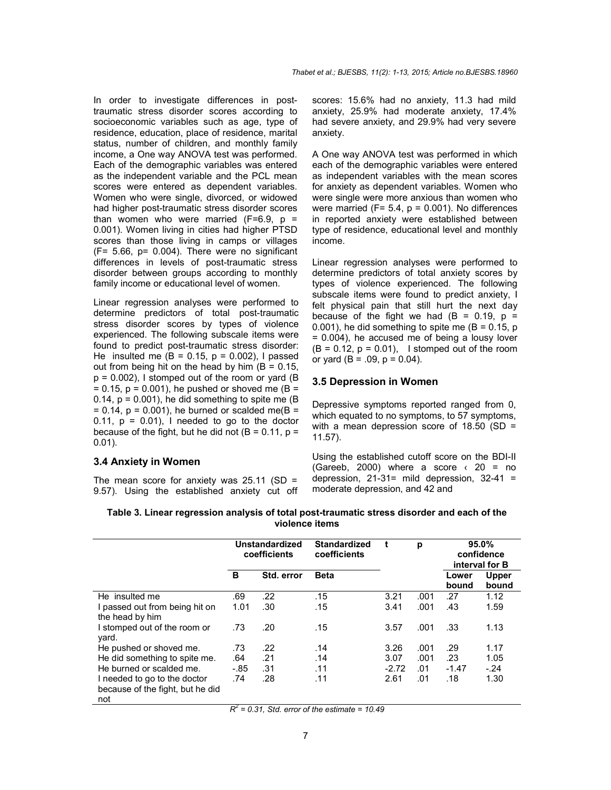In order to investigate differences in posttraumatic stress disorder scores according to socioeconomic variables such as age, type of residence, education, place of residence, marital status, number of children, and monthly family income, a One way ANOVA test was performed. Each of the demographic variables was entered as the independent variable and the PCL mean scores were entered as dependent variables. Women who were single, divorced, or widowed had higher post-traumatic stress disorder scores than women who were married  $(F=6.9, p =$ 0.001). Women living in cities had higher PTSD scores than those living in camps or villages (F= 5.66, p= 0.004). There were no significant differences in levels of post-traumatic stress disorder between groups according to monthly family income or educational level of women.

Linear regression analyses were performed to determine predictors of total post-traumatic stress disorder scores by types of violence experienced. The following subscale items were found to predict post-traumatic stress disorder: He insulted me  $(B = 0.15, p = 0.002)$ , I passed out from being hit on the head by him  $(B = 0.15,$  $p = 0.002$ ), I stomped out of the room or yard (B  $= 0.15$ ,  $p = 0.001$ ), he pushed or shoved me (B = 0.14,  $p = 0.001$ , he did something to spite me (B)  $= 0.14$ ,  $p = 0.001$ ), he burned or scalded me(B = 0.11,  $p = 0.01$ ), I needed to go to the doctor because of the fight, but he did not ( $B = 0.11$ ,  $p =$ 0.01).

## **3.4 Anxiety in Women**

The mean score for anxiety was  $25.11$  (SD = 9.57). Using the established anxiety cut off scores: 15.6% had no anxiety, 11.3 had mild anxiety, 25.9% had moderate anxiety, 17.4% had severe anxiety, and 29.9% had very severe anxiety.

A One way ANOVA test was performed in which each of the demographic variables were entered as independent variables with the mean scores for anxiety as dependent variables. Women who were single were more anxious than women who were married ( $F = 5.4$ ,  $p = 0.001$ ). No differences in reported anxiety were established between type of residence, educational level and monthly income.

Linear regression analyses were performed to determine predictors of total anxiety scores by types of violence experienced. The following subscale items were found to predict anxiety, I felt physical pain that still hurt the next day because of the fight we had  $(B = 0.19, p = 1)$ 0.001), he did something to spite me  $(B = 0.15, p)$ = 0.004), he accused me of being a lousy lover  $(B = 0.12, p = 0.01)$ , I stomped out of the room or yard ( $B = .09$ ,  $p = 0.04$ ).

#### **3.5 Depression in Women**

Depressive symptoms reported ranged from 0, which equated to no symptoms, to 57 symptoms, with a mean depression score of  $18.50$  (SD = 11.57).

Using the established cutoff score on the BDI-II (Gareeb, 2000) where a score  $\left($  20 = no depression, 21-31= mild depression, 32-41 = moderate depression, and 42 and

|                                                                         | Unstandardized<br>coefficients |            | <b>Standardized</b><br>coefficients |         | р    | 95.0%<br>confidence<br>interval for B |                       |
|-------------------------------------------------------------------------|--------------------------------|------------|-------------------------------------|---------|------|---------------------------------------|-----------------------|
|                                                                         | в                              | Std. error | <b>Beta</b>                         |         |      | Lower<br>bound                        | <b>Upper</b><br>bound |
| He insulted me                                                          | .69                            | .22        | .15                                 | 3.21    | .001 | .27                                   | 1.12                  |
| I passed out from being hit on<br>the head by him                       | 1.01                           | .30        | .15                                 | 3.41    | .001 | .43                                   | 1.59                  |
| I stomped out of the room or<br>vard.                                   | .73                            | .20        | .15                                 | 3.57    | .001 | .33                                   | 1.13                  |
| He pushed or shoved me.                                                 | .73                            | .22        | .14                                 | 3.26    | .001 | .29                                   | 1.17                  |
| He did something to spite me.                                           | .64                            | .21        | .14                                 | 3.07    | .001 | .23                                   | 1.05                  |
| He burned or scalded me.                                                | $-.85$                         | .31        | .11                                 | $-2.72$ | .01  | $-1.47$                               | $-.24$                |
| I needed to go to the doctor<br>because of the fight, but he did<br>not | .74<br>۰,                      | .28        | .11                                 | 2.61    | .01  | .18                                   | 1.30                  |

**Table 3. Linear regression analysis of total post-traumatic stress disorder and each of the violence items**

*R2 = 0.31, Std. error of the estimate = 10.49*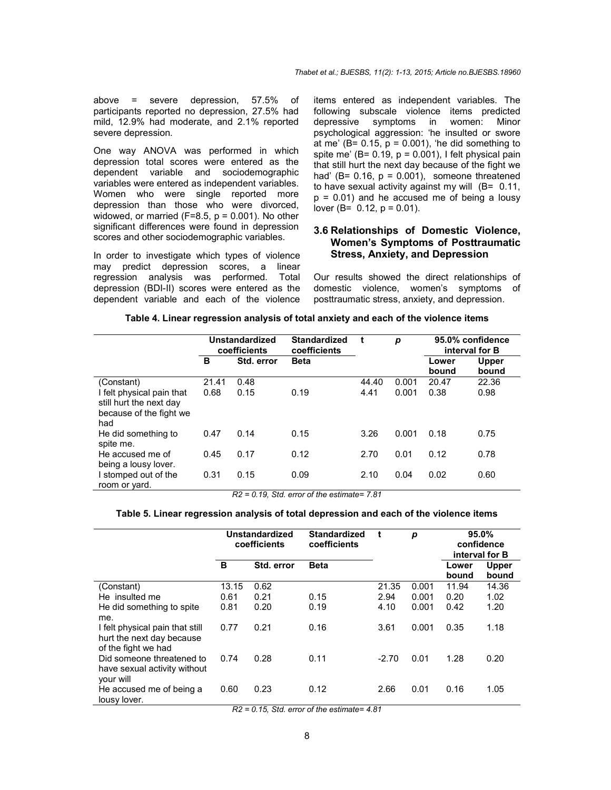above = severe depression, 57.5% of participants reported no depression, 27.5% had mild, 12.9% had moderate, and 2.1% reported severe depression.

One way ANOVA was performed in which depression total scores were entered as the dependent variable and sociodemographic variables were entered as independent variables. Women who were single reported more depression than those who were divorced, widowed, or married  $(F=8.5, p = 0.001)$ . No other significant differences were found in depression scores and other sociodemographic variables.

In order to investigate which types of violence may predict depression scores, a linear regression analysis was performed. Total depression (BDI-II) scores were entered as the dependent variable and each of the violence items entered as independent variables. The following subscale violence items predicted depressive symptoms in women: Minor psychological aggression: 'he insulted or swore at me' ( $B = 0.15$ ,  $p = 0.001$ ), 'he did something to spite me' ( $B = 0.19$ ,  $p = 0.001$ ), I felt physical pain that still hurt the next day because of the fight we had' (B=  $0.16$ ,  $p = 0.001$ ), someone threatened to have sexual activity against my will (B= 0.11,  $p = 0.01$ ) and he accused me of being a lousy lover ( $B = 0.12$ ,  $p = 0.01$ ).

# **3.6 Relationships of Domestic Violence, Women's Symptoms of Posttraumatic Stress, Anxiety, and Depression**

Our results showed the direct relationships of domestic violence, women's symptoms of posttraumatic stress, anxiety, and depression.

|                                                                                        | <b>Unstandardized</b><br>coefficients |            | <b>Standardized</b><br>coefficients |       | p     | 95.0% confidence<br>interval for B |                       |  |
|----------------------------------------------------------------------------------------|---------------------------------------|------------|-------------------------------------|-------|-------|------------------------------------|-----------------------|--|
|                                                                                        | в                                     | Std. error | <b>Beta</b>                         |       |       | Lower<br>bound                     | <b>Upper</b><br>bound |  |
| (Constant)                                                                             | 21.41                                 | 0.48       |                                     | 44.40 | 0.001 | 20.47                              | 22.36                 |  |
| I felt physical pain that<br>still hurt the next day<br>because of the fight we<br>had | 0.68                                  | 0.15       | 0.19                                | 4.41  | 0.001 | 0.38                               | 0.98                  |  |
| He did something to<br>spite me.                                                       | 0.47                                  | 0.14       | 0.15                                | 3.26  | 0.001 | 0.18                               | 0.75                  |  |
| He accused me of<br>being a lousy lover.                                               | 0.45                                  | 0.17       | 0.12                                | 2.70  | 0.01  | 0.12                               | 0.78                  |  |
| I stomped out of the<br>room or yard.                                                  | 0.31                                  | 0.15       | 0.09                                | 2.10  | 0.04  | 0.02                               | 0.60                  |  |

**Table 4. Linear regression analysis of total anxiety and each of the violence items**

*R2 = 0.19, Std. error of the estimate= 7.81*

#### **Table 5. Linear regression analysis of total depression and each of the violence items**

|                                                                                     | <b>Unstandardized</b><br>coefficients |            | <b>Standardized</b><br>coefficients | t       | р     | 95.0%<br>confidence<br>interval for B |                       |  |
|-------------------------------------------------------------------------------------|---------------------------------------|------------|-------------------------------------|---------|-------|---------------------------------------|-----------------------|--|
|                                                                                     | В                                     | Std. error | <b>Beta</b>                         |         |       | Lower<br>bound                        | <b>Upper</b><br>bound |  |
| (Constant)                                                                          | 13.15                                 | 0.62       |                                     | 21.35   | 0.001 | 11.94                                 | 14.36                 |  |
| He insulted me                                                                      | 0.61                                  | 0.21       | 0.15                                | 2.94    | 0.001 | 0.20                                  | 1.02                  |  |
| He did something to spite<br>me.                                                    | 0.81                                  | 0.20       | 0.19                                | 4.10    | 0.001 | 0.42                                  | 1.20                  |  |
| I felt physical pain that still<br>hurt the next day because<br>of the fight we had | 0.77                                  | 0.21       | 0.16                                | 3.61    | 0.001 | 0.35                                  | 1.18                  |  |
| Did someone threatened to<br>have sexual activity without<br>your will              | 0.74                                  | 0.28       | 0.11                                | $-2.70$ | 0.01  | 1.28                                  | 0.20                  |  |
| He accused me of being a<br>lousy lover.                                            | 0.60                                  | 0.23       | 0.12                                | 2.66    | 0.01  | 0.16                                  | 1.05                  |  |

*R2 = 0.15, Std. error of the estimate= 4.81*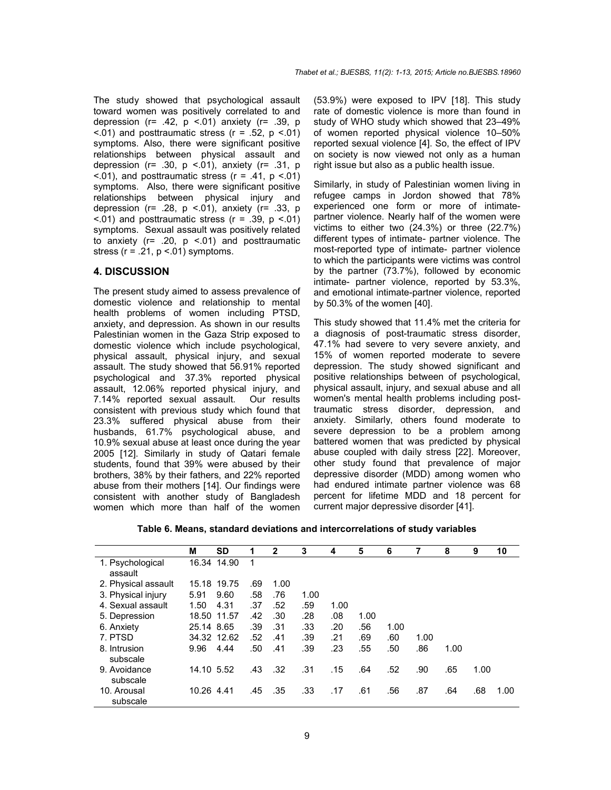The study showed that psychological assault toward women was positively correlated to and depression ( $r = .42$ ,  $p < .01$ ) anxiety ( $r = .39$ , p  $\leq$ .01) and posttraumatic stress ( $r = .52$ ,  $p \leq .01$ ) symptoms. Also, there were significant positive relationships between physical assault and depression ( $r= .30$ ,  $p < .01$ ), anxiety ( $r= .31$ ,  $p$  $\leq$ .01), and posttraumatic stress ( $r = .41$ ,  $p \leq .01$ ) symptoms. Also, there were significant positive relationships between physical injury and depression ( $r = 0.28$ ,  $p < 0.01$ ), anxiety ( $r = 0.33$ , p  $\leq$ .01) and posttraumatic stress ( $r = .39$ ,  $p \leq .01$ ) symptoms. Sexual assault was positively related to anxiety ( $r= .20$ ,  $p < .01$ ) and posttraumatic stress ( $r = .21$ ,  $p < .01$ ) symptoms.

### **4. DISCUSSION**

The present study aimed to assess prevalence of domestic violence and relationship to mental health problems of women including PTSD, anxiety, and depression. As shown in our results Palestinian women in the Gaza Strip exposed to domestic violence which include psychological, physical assault, physical injury, and sexual assault. The study showed that 56.91% reported psychological and 37.3% reported physical assault, 12.06% reported physical injury, and 7.14% reported sexual assault. Our results consistent with previous study which found that 23.3% suffered physical abuse from their husbands, 61.7% psychological abuse, and 10.9% sexual abuse at least once during the year 2005 [12]. Similarly in study of Qatari female students, found that 39% were abused by their brothers, 38% by their fathers, and 22% reported abuse from their mothers [14]. Our findings were consistent with another study of Bangladesh women which more than half of the women (53.9%) were exposed to IPV [18]. This study rate of domestic violence is more than found in study of WHO study which showed that 23–49% of women reported physical violence 10–50% reported sexual violence [4]. So, the effect of IPV on society is now viewed not only as a human right issue but also as a public health issue.

Similarly, in study of Palestinian women living in refugee camps in Jordon showed that 78% experienced one form or more of intimatepartner violence. Nearly half of the women were victims to either two (24.3%) or three (22.7%) different types of intimate- partner violence. The most-reported type of intimate- partner violence to which the participants were victims was control by the partner (73.7%), followed by economic intimate- partner violence, reported by 53.3%, and emotional intimate-partner violence, reported by 50.3% of the women [40].

This study showed that 11.4% met the criteria for a diagnosis of post-traumatic stress disorder, 47.1% had severe to very severe anxiety, and 15% of women reported moderate to severe depression. The study showed significant and positive relationships between of psychological, physical assault, injury, and sexual abuse and all women's mental health problems including posttraumatic stress disorder, depression, and anxiety. Similarly, others found moderate to severe depression to be a problem among battered women that was predicted by physical abuse coupled with daily stress [22]. Moreover, other study found that prevalence of major depressive disorder (MDD) among women who had endured intimate partner violence was 68 percent for lifetime MDD and 18 percent for current major depressive disorder [41].

**Table 6. Means, standard deviations and intercorrelations of study variables**

|                             | М          | SD          | 1   | $\mathbf{2}$ | 3    | 4    | 5    | 6    | 7    | 8    | 9    | 10   |
|-----------------------------|------------|-------------|-----|--------------|------|------|------|------|------|------|------|------|
| 1. Psychological<br>assault |            | 16.34 14.90 | 1   |              |      |      |      |      |      |      |      |      |
| 2. Physical assault         |            | 15.18 19.75 | .69 | 1.00         |      |      |      |      |      |      |      |      |
| 3. Physical injury          | 5.91       | 9.60        | .58 | .76          | 1.00 |      |      |      |      |      |      |      |
| 4. Sexual assault           | 1.50       | 4.31        | .37 | .52          | .59  | 1.00 |      |      |      |      |      |      |
| 5. Depression               |            | 18.50 11.57 | .42 | .30          | .28  | .08  | 1.00 |      |      |      |      |      |
| 6. Anxiety                  | 25.14 8.65 |             | .39 | .31          | .33  | .20  | .56  | 1.00 |      |      |      |      |
| 7. PTSD                     |            | 34.32 12.62 | .52 | .41          | .39  | .21  | .69  | .60  | 1.00 |      |      |      |
| 8. Intrusion<br>subscale    | 9.96       | 4.44        | .50 | .41          | .39  | .23  | .55  | .50  | .86  | 1.00 |      |      |
| 9. Avoidance<br>subscale    | 14.10 5.52 |             | .43 | .32          | .31  | .15  | .64  | .52  | .90  | .65  | 1.00 |      |
| 10. Arousal<br>subscale     | 10.26 4.41 |             | .45 | .35          | .33  | .17  | .61  | .56  | .87  | .64  | .68  | 1.00 |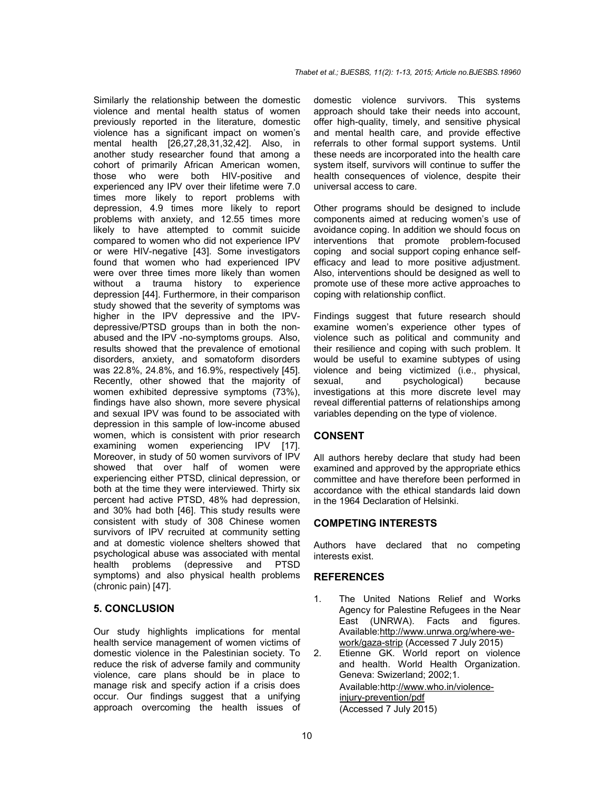Similarly the relationship between the domestic violence and mental health status of women previously reported in the literature, domestic violence has a significant impact on women's mental health [26,27,28,31,32,42]. Also, in another study researcher found that among a cohort of primarily African American women, those who were both HIV-positive and experienced any IPV over their lifetime were 7.0 times more likely to report problems with depression, 4.9 times more likely to report problems with anxiety, and 12.55 times more likely to have attempted to commit suicide compared to women who did not experience IPV or were HIV-negative [43]. Some investigators found that women who had experienced IPV were over three times more likely than women without a trauma history to experience depression [44]. Furthermore, in their comparison study showed that the severity of symptoms was higher in the IPV depressive and the IPVdepressive/PTSD groups than in both the nonabused and the IPV -no-symptoms groups. Also, results showed that the prevalence of emotional disorders, anxiety, and somatoform disorders was 22.8%, 24.8%, and 16.9%, respectively [45]. Recently, other showed that the majority of women exhibited depressive symptoms (73%), findings have also shown, more severe physical and sexual IPV was found to be associated with depression in this sample of low-income abused women, which is consistent with prior research examining women experiencing IPV [17]. Moreover, in study of 50 women survivors of IPV showed that over half of women were experiencing either PTSD, clinical depression, or both at the time they were interviewed. Thirty six percent had active PTSD, 48% had depression, and 30% had both [46]. This study results were consistent with study of 308 Chinese women survivors of IPV recruited at community setting and at domestic violence shelters showed that psychological abuse was associated with mental health problems (depressive and PTSD symptoms) and also physical health problems (chronic pain) [47].

# **5. CONCLUSION**

Our study highlights implications for mental health service management of women victims of domestic violence in the Palestinian society. To reduce the risk of adverse family and community violence, care plans should be in place to manage risk and specify action if a crisis does occur. Our findings suggest that a unifying approach overcoming the health issues of domestic violence survivors. This systems approach should take their needs into account, offer high-quality, timely, and sensitive physical and mental health care, and provide effective referrals to other formal support systems. Until these needs are incorporated into the health care system itself, survivors will continue to suffer the health consequences of violence, despite their universal access to care.

Other programs should be designed to include components aimed at reducing women's use of avoidance coping. In addition we should focus on interventions that promote problem-focused coping and social support coping enhance selfefficacy and lead to more positive adjustment. Also, interventions should be designed as well to promote use of these more active approaches to coping with relationship conflict.

Findings suggest that future research should examine women's experience other types of violence such as political and community and their resilience and coping with such problem. It would be useful to examine subtypes of using violence and being victimized (i.e., physical, sexual, and psychological) because investigations at this more discrete level may reveal differential patterns of relationships among variables depending on the type of violence.

# **CONSENT**

All authors hereby declare that study had been examined and approved by the appropriate ethics committee and have therefore been performed in accordance with the ethical standards laid down in the 1964 Declaration of Helsinki.

# **COMPETING INTERESTS**

Authors have declared that no competing interests exist.

# **REFERENCES**

- 1. The United Nations Relief and Works Agency for Palestine Refugees in the Near East (UNRWA). Facts and figures. Available:http://www.unrwa.org/where-wework/gaza-strip (Accessed 7 July 2015)
- 2. Etienne GK. World report on violence and health. World Health Organization. Geneva: Swizerland; 2002;1. Available:http://www.who.in/violenceinjury-prevention/pdf (Accessed 7 July 2015)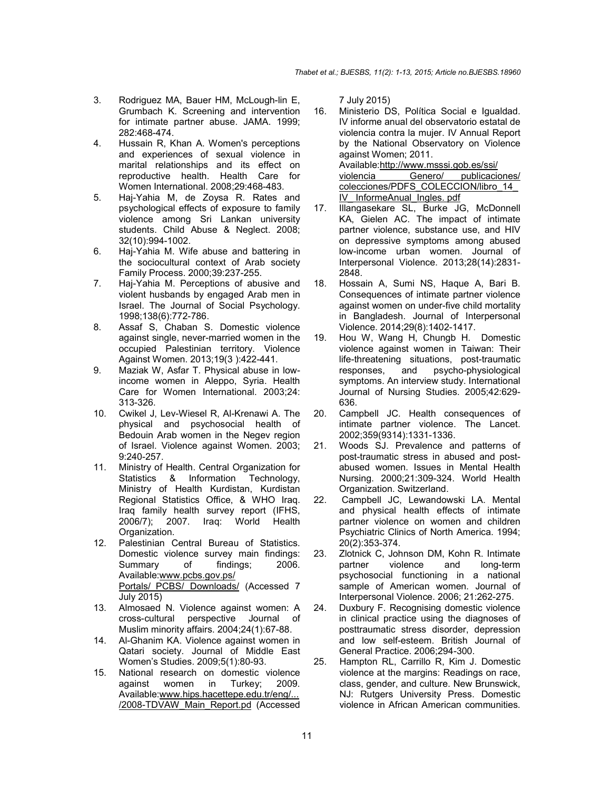- 3. Rodriguez MA, Bauer HM, McLough-lin E, Grumbach K. Screening and intervention for intimate partner abuse. JAMA. 1999; 282:468-474.
- 4. Hussain R, Khan A. Women's perceptions and experiences of sexual violence in marital relationships and its effect on reproductive health. Health Care for Women International. 2008;29:468-483.
- 5. Haj-Yahia M, de Zoysa R. Rates and psychological effects of exposure to family violence among Sri Lankan university students. Child Abuse & Neglect. 2008; 32(10):994-1002.
- 6. Haj-Yahia M. Wife abuse and battering in the sociocultural context of Arab society Family Process. 2000;39:237-255.
- 7. Haj-Yahia M. Perceptions of abusive and violent husbands by engaged Arab men in Israel. The Journal of Social Psychology. 1998;138(6):772-786.
- 8. Assaf S, Chaban S. Domestic violence against single, never-married women in the occupied Palestinian territory. Violence Against Women. 2013;19(3 ):422-441.
- 9. Maziak W, Asfar T. Physical abuse in lowincome women in Aleppo, Syria. Health Care for Women International. 2003;24: 313-326.
- 10. Cwikel J, Lev-Wiesel R, Al-Krenawi A. The physical and psychosocial health of Bedouin Arab women in the Negev region of Israel. Violence against Women. 2003; 9:240-257.
- 11. Ministry of Health. Central Organization for Statistics & Information Technology, Ministry of Health Kurdistan, Kurdistan Regional Statistics Office, & WHO Iraq. Iraq family health survey report (IFHS, 2006/7); 2007. Iraq: World Health Organization.
- 12. Palestinian Central Bureau of Statistics. Domestic violence survey main findings:<br>Summary of findings; 2006. Summary of Available:www.pcbs.gov.ps/ Portals/ PCBS/ Downloads/ (Accessed 7 July 2015)
- 13. Almosaed N. Violence against women: A cross-cultural perspective Journal of Muslim minority affairs. 2004;24(1):67-88.
- 14. Al-Ghanim KA. Violence against women in Qatari society. Journal of Middle East Women's Studies. 2009;5(1):80-93.
- 15. National research on domestic violence against women in Turkey; 2009. Available:www.hips.hacettepe.edu.tr/eng/... /2008-TDVAW\_Main\_Report.pd (Accessed

7 July 2015)

- 16. Ministerio DS, Política Social e Igualdad. IV informe anual del observatorio estatal de violencia contra la mujer. IV Annual Report by the National Observatory on Violence against Women; 2011. Available:http://www.msssi.gob.es/ssi/ violencia Genero/ publicaciones/ colecciones/PDFS\_COLECCION/libro\_14 IV\_ InformeAnual\_Ingles. pdf
- 17. Illangasekare SL, Burke JG, McDonnell KA, Gielen AC. The impact of intimate partner violence, substance use, and HIV on depressive symptoms among abused low-income urban women. Journal of Interpersonal Violence. 2013;28(14):2831- 2848.
- 18. Hossain A, Sumi NS, Haque A, Bari B. Consequences of intimate partner violence against women on under-five child mortality in Bangladesh. Journal of Interpersonal Violence. 2014;29(8):1402-1417.
- 19. Hou W, Wang H, Chungb H. Domestic violence against women in Taiwan: Their life-threatening situations, post-traumatic responses, and psycho-physiological symptoms. An interview study. International Journal of Nursing Studies. 2005;42:629- 636.
- 20. Campbell JC. Health consequences of intimate partner violence. The Lancet. 2002;359(9314):1331-1336.
- 21. Woods SJ. Prevalence and patterns of post-traumatic stress in abused and postabused women. Issues in Mental Health Nursing. 2000;21:309-324. World Health Organization. Switzerland.
- 22. Campbell JC, Lewandowski LA. Mental and physical health effects of intimate partner violence on women and children Psychiatric Clinics of North America. 1994; 20(2):353-374.
- 23. Zlotnick C, Johnson DM, Kohn R. Intimate<br>partner violence and long-term and long-term psychosocial functioning in a national sample of American women. Journal of Interpersonal Violence. 2006; 21:262-275.
- 24. Duxbury F. Recognising domestic violence in clinical practice using the diagnoses of posttraumatic stress disorder, depression and low self-esteem. British Journal of General Practice. 2006;294-300.
- 25. Hampton RL, Carrillo R, Kim J. Domestic violence at the margins: Readings on race, class, gender, and culture. New Brunswick, NJ: Rutgers University Press. Domestic violence in African American communities.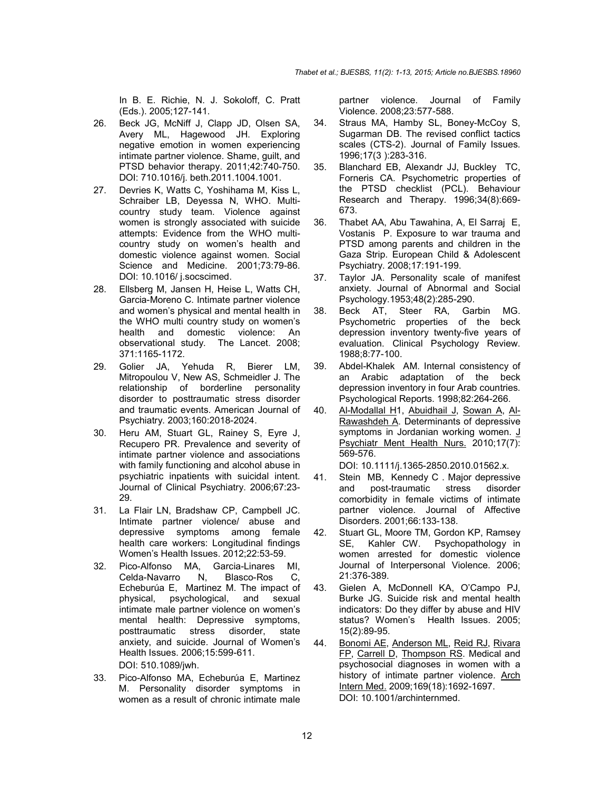In B. E. Richie, N. J. Sokoloff, C. Pratt (Eds.). 2005;127-141.

- 26. Beck JG, McNiff J, Clapp JD, Olsen SA, Avery ML, Hagewood JH. Exploring negative emotion in women experiencing intimate partner violence. Shame, guilt, and PTSD behavior therapy. 2011;42:740-750. DOI: 710.1016/j. beth.2011.1004.1001.
- 27. Devries K, Watts C, Yoshihama M, Kiss L, Schraiber LB, Deyessa N, WHO. Multicountry study team. Violence against women is strongly associated with suicide attempts: Evidence from the WHO multicountry study on women's health and domestic violence against women. Social Science and Medicine. 2001;73:79-86. DOI: 10.1016/ j.socscimed.
- 28. Ellsberg M, Jansen H, Heise L, Watts CH, Garcia-Moreno C. Intimate partner violence and women's physical and mental health in the WHO multi country study on women's health and domestic violence: An observational study. The Lancet. 2008; 371:1165-1172.
- 29. Golier JA, Yehuda R, Bierer LM, Mitropoulou V, New AS, Schmeidler J. The relationship of borderline personality disorder to posttraumatic stress disorder and traumatic events. American Journal of Psychiatry. 2003;160:2018-2024.
- 30. Heru AM, Stuart GL, Rainey S, Eyre J, Recupero PR. Prevalence and severity of intimate partner violence and associations with family functioning and alcohol abuse in psychiatric inpatients with suicidal intent. Journal of Clinical Psychiatry. 2006;67:23- 29.
- 31. La Flair LN, Bradshaw CP, Campbell JC. Intimate partner violence/ abuse and depressive symptoms among female health care workers: Longitudinal findings Women's Health Issues. 2012;22:53-59.
- 32. Pico-Alfonso MA, Garcia-Linares MI, Celda-Navarro N, Blasco-Ros C, Echeburúa E, Martinez M. The impact of physical, psychological, and sexual intimate male partner violence on women's mental health: Depressive symptoms, posttraumatic stress disorder, state anxiety, and suicide. Journal of Women's Health Issues. 2006;15:599-611. DOI: 510.1089/jwh.
- 33. Pico-Alfonso MA, Echeburúa E, Martinez M. Personality disorder symptoms in women as a result of chronic intimate male

partner violence. Journal of Family Violence. 2008;23:577-588.

- 34. Straus MA, Hamby SL, Boney-McCoy S, Sugarman DB. The revised conflict tactics scales (CTS-2). Journal of Family Issues. 1996;17(3 ):283-316.
- 35. Blanchard EB, Alexandr JJ, Buckley TC, Forneris CA. Psychometric properties of the PTSD checklist (PCL). Behaviour Research and Therapy. 1996;34(8):669- 673.
- 36. Thabet AA, Abu Tawahina, A, El Sarraj E, Vostanis P. Exposure to war trauma and PTSD among parents and children in the Gaza Strip. European Child & Adolescent Psychiatry. 2008;17:191-199.
- 37. Taylor JA. Personality scale of manifest anxiety. Journal of Abnormal and Social Psychology.1953;48(2):285-290.
- 38. Beck AT, Steer RA, Garbin MG. Psychometric properties of the beck depression inventory twenty-five years of evaluation. Clinical Psychology Review. 1988;8:77-100.
- 39. Abdel-Khalek AM. Internal consistency of an Arabic adaptation of the beck depression inventory in four Arab countries. Psychological Reports. 1998;82:264-266.
- 40. Al-Modallal H1, Abuidhail J, Sowan A, Al-Rawashdeh A. Determinants of depressive symptoms in Jordanian working women. J Psychiatr Ment Health Nurs. 2010;17(7): 569-576.

DOI: 10.1111/j.1365-2850.2010.01562.x.

- 41. Stein MB, Kennedy C . Major depressive<br>and post-traumatic stress disorder and post-traumatic stress comorbidity in female victims of intimate partner violence. Journal of Affective Disorders. 2001;66:133-138.
- 42. Stuart GL, Moore TM, Gordon KP, Ramsey SE, Kahler CW. Psychopathology in women arrested for domestic violence Journal of Interpersonal Violence. 2006; 21:376-389.
- 43. Gielen A, McDonnell KA, O'Campo PJ, Burke JG. Suicide risk and mental health indicators: Do they differ by abuse and HIV status? Women's Health Issues. 2005; 15(2):89-95.
- 44. Bonomi AE, Anderson ML, Reid RJ, Rivara FP, Carrell D, Thompson RS. Medical and psychosocial diagnoses in women with a history of intimate partner violence. Arch Intern Med. 2009;169(18):1692-1697. DOI: 10.1001/archinternmed.